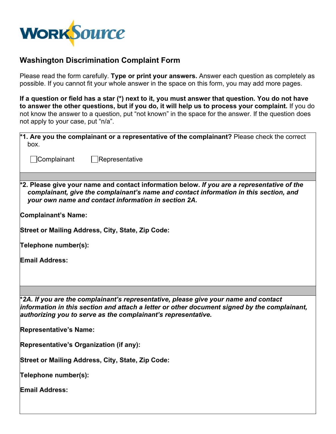

## **Washington Discrimination Complaint Form**

Please read the form carefully. **Type or print your answers.** Answer each question as completely as possible. If you cannot fit your whole answer in the space on this form, you may add more pages.

**If a question or field has a star (\*) next to it, you must answer that question. You do not have to answer the other questions, but if you do, it will help us to process your complaint.** If you do not know the answer to a question, put "not known" in the space for the answer. If the question does not apply to your case, put "n/a".

| <sup>*</sup> 1. Are you the complainant or a representative of the complainant? Please check the correct                                                                                                                                        |  |  |  |  |
|-------------------------------------------------------------------------------------------------------------------------------------------------------------------------------------------------------------------------------------------------|--|--|--|--|
| box.                                                                                                                                                                                                                                            |  |  |  |  |
| ∫Complainant<br>Representative                                                                                                                                                                                                                  |  |  |  |  |
|                                                                                                                                                                                                                                                 |  |  |  |  |
| $*$ 2. Please give your name and contact information below. If you are a representative of the<br>complainant, give the complainant's name and contact information in this section, and<br>your own name and contact information in section 2A. |  |  |  |  |
| Complainant's Name:                                                                                                                                                                                                                             |  |  |  |  |
| Street or Mailing Address, City, State, Zip Code:                                                                                                                                                                                               |  |  |  |  |
| Telephone number(s):                                                                                                                                                                                                                            |  |  |  |  |
| <b>Email Address:</b>                                                                                                                                                                                                                           |  |  |  |  |
|                                                                                                                                                                                                                                                 |  |  |  |  |
| *2A. If you are the complainant's representative, please give your name and contact                                                                                                                                                             |  |  |  |  |
| information in this section and attach a letter or other document signed by the complainant,<br>authorizing you to serve as the complainant's representative.                                                                                   |  |  |  |  |
| <b>Representative's Name:</b>                                                                                                                                                                                                                   |  |  |  |  |
| Representative's Organization (if any):                                                                                                                                                                                                         |  |  |  |  |
| <b>Street or Mailing Address, City, State, Zip Code:</b>                                                                                                                                                                                        |  |  |  |  |
| Telephone number(s):                                                                                                                                                                                                                            |  |  |  |  |
| <b>Email Address:</b>                                                                                                                                                                                                                           |  |  |  |  |
|                                                                                                                                                                                                                                                 |  |  |  |  |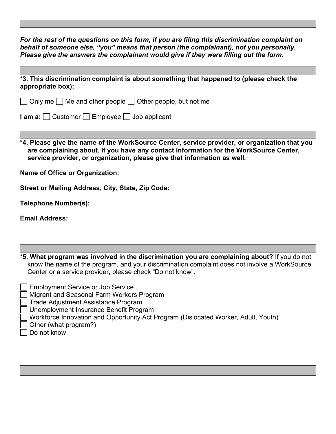| For the rest of the questions on this form, if you are filing this discrimination complaint on<br>behalf of someone else, "you" means that person (the complainant), not you personally.<br>Please give the answers the complainant would give if they were filling out the form. |  |  |  |
|-----------------------------------------------------------------------------------------------------------------------------------------------------------------------------------------------------------------------------------------------------------------------------------|--|--|--|
|                                                                                                                                                                                                                                                                                   |  |  |  |
| $*$ 3. This discrimination complaint is about something that happened to (please check the<br>appropriate box):                                                                                                                                                                   |  |  |  |
| Only me $\Box$ Me and other people $\Box$ Other people, but not me                                                                                                                                                                                                                |  |  |  |
| <b>I am a:</b> $\Box$ Customer $\Box$ Employee $\Box$ Job applicant                                                                                                                                                                                                               |  |  |  |
| $^{\ast}$ 4. Please give the name of the WorkSource Center, service provider, or organization that you<br>are complaining about. If you have any contact information for the WorkSource Center,<br>service provider, or organization, please give that information as well.       |  |  |  |
| Name of Office or Organization:                                                                                                                                                                                                                                                   |  |  |  |
| <b>Street or Mailing Address, City, State, Zip Code:</b>                                                                                                                                                                                                                          |  |  |  |
| Telephone Number(s):                                                                                                                                                                                                                                                              |  |  |  |
| <b>Email Address:</b>                                                                                                                                                                                                                                                             |  |  |  |
|                                                                                                                                                                                                                                                                                   |  |  |  |
| $*$ 5. What program was involved in the discrimination you are complaining about? If you do not<br>know the name of the program, and your discrimination complaint does not involve a WorkSource<br>Center or a service provider, please check "Do not know".                     |  |  |  |
| <b>Employment Service or Job Service</b><br>Migrant and Seasonal Farm Workers Program<br>Trade Adjustment Assistance Program<br>Unemployment Insurance Benefit Program                                                                                                            |  |  |  |
| Workforce Innovation and Opportunity Act Program (Dislocated Worker, Adult, Youth)<br>Other (what program?)<br>Do not know                                                                                                                                                        |  |  |  |
|                                                                                                                                                                                                                                                                                   |  |  |  |
|                                                                                                                                                                                                                                                                                   |  |  |  |

 $\Box$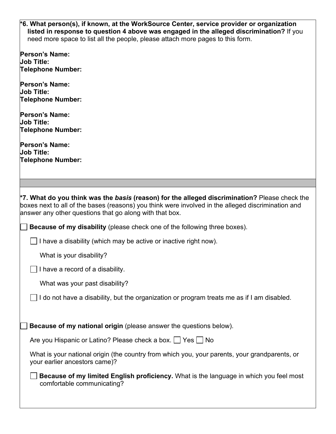| *6. What person(s), if known, at the WorkSource Center, service provider or organization |  |  |
|------------------------------------------------------------------------------------------|--|--|
| listed in response to question 4 above was engaged in the alleged discrimination? If you |  |  |
| need more space to list all the people, please attach more pages to this form.           |  |  |
|                                                                                          |  |  |

| <b>Person's Name:</b><br><b>Job Title:</b><br><b>Telephone Number:</b>                                                                                                                                                                                         |
|----------------------------------------------------------------------------------------------------------------------------------------------------------------------------------------------------------------------------------------------------------------|
| <b>Person's Name:</b><br><b>Job Title:</b><br><b>Telephone Number:</b>                                                                                                                                                                                         |
| <b>Person's Name:</b><br><b>Job Title:</b><br><b>Telephone Number:</b>                                                                                                                                                                                         |
| <b>Person's Name:</b><br><b>Job Title:</b><br><b>Telephone Number:</b>                                                                                                                                                                                         |
|                                                                                                                                                                                                                                                                |
| *7. What do you think was the basis (reason) for the alleged discrimination? Please check the<br>boxes next to all of the bases (reasons) you think were involved in the alleged discrimination and<br>answer any other questions that go along with that box. |
| <b>Because of my disability</b> (please check one of the following three boxes).                                                                                                                                                                               |
| I have a disability (which may be active or inactive right now).                                                                                                                                                                                               |
| What is your disability?                                                                                                                                                                                                                                       |
| I have a record of a disability.                                                                                                                                                                                                                               |
| What was your past disability?                                                                                                                                                                                                                                 |
| $\Box$ I do not have a disability, but the organization or program treats me as if I am disabled.                                                                                                                                                              |
| Because of my national origin (please answer the questions below).                                                                                                                                                                                             |
| Are you Hispanic or Latino? Please check a box. □ Yes □ No                                                                                                                                                                                                     |
| What is your national origin (the country from which you, your parents, your grandparents, or<br>your earlier ancestors came)?                                                                                                                                 |
| Because of my limited English proficiency. What is the language in which you feel most<br>comfortable communicating?                                                                                                                                           |
|                                                                                                                                                                                                                                                                |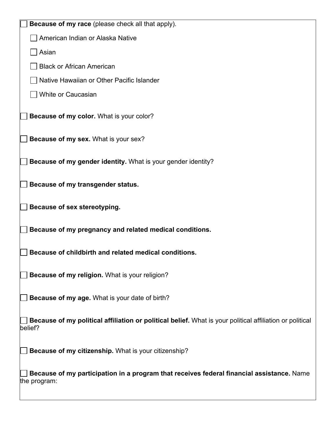| <b>Because of my race</b> (please check all that apply).                                                            |
|---------------------------------------------------------------------------------------------------------------------|
| American Indian or Alaska Native                                                                                    |
| Asian                                                                                                               |
| <b>Black or African American</b>                                                                                    |
| Native Hawaiian or Other Pacific Islander                                                                           |
| <b>White or Caucasian</b>                                                                                           |
| Because of my color. What is your color?                                                                            |
| Because of my sex. What is your sex?                                                                                |
| Because of my gender identity. What is your gender identity?                                                        |
| Because of my transgender status.                                                                                   |
| Because of sex stereotyping.                                                                                        |
| Because of my pregnancy and related medical conditions.                                                             |
| Because of childbirth and related medical conditions.                                                               |
| Because of my religion. What is your religion?                                                                      |
| Because of my age. What is your date of birth?                                                                      |
| Because of my political affiliation or political belief. What is your political affiliation or political<br>belief? |
| Because of my citizenship. What is your citizenship?                                                                |
| Because of my participation in a program that receives federal financial assistance. Name<br>the program:           |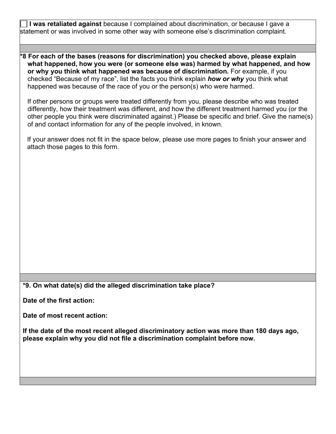**I was retaliated against** because I complained about discrimination, or because I gave a statement or was involved in some other way with someone else's discrimination complaint.

**\*8 For each of the bases (reasons for discrimination) you checked above, please explain what happened, how you were (or someone else was) harmed by what happened, and how or why you think what happened was because of discrimination.** For example, if you checked "Because of my race", list the facts you think explain *how or why* you think what happened was because of the race of you or the person(s) who were harmed.

If other persons or groups were treated differently from you, please describe who was treated differently, how their treatment was different, and how the different treatment harmed you (or the other people you think were discriminated against.) Please be specific and brief. Give the name(s) of and contact information for any of the people involved, in known.

If your answer does not fit in the space below, please use more pages to finish your answer and attach those pages to this form.

**\*9. On what date(s) did the alleged discrimination take place?**

**Date of the first action:**

**Date of most recent action:**

**If the date of the most recent alleged discriminatory action was more than 180 days ago, please explain why you did not file a discrimination complaint before now.**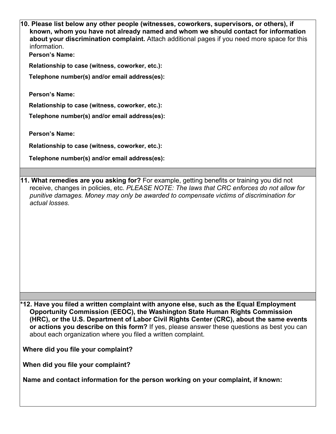| 10. Please list below any other people (witnesses, coworkers, supervisors, or others), if<br>known, whom you have not already named and whom we should contact for information<br>about your discrimination complaint. Attach additional pages if you need more space for this<br>information.<br><b>Person's Name:</b>                                                                                                                                                                                                                                                                              |
|------------------------------------------------------------------------------------------------------------------------------------------------------------------------------------------------------------------------------------------------------------------------------------------------------------------------------------------------------------------------------------------------------------------------------------------------------------------------------------------------------------------------------------------------------------------------------------------------------|
| Relationship to case (witness, coworker, etc.):                                                                                                                                                                                                                                                                                                                                                                                                                                                                                                                                                      |
| Telephone number(s) and/or email address(es):                                                                                                                                                                                                                                                                                                                                                                                                                                                                                                                                                        |
| <b>Person's Name:</b>                                                                                                                                                                                                                                                                                                                                                                                                                                                                                                                                                                                |
| Relationship to case (witness, coworker, etc.):                                                                                                                                                                                                                                                                                                                                                                                                                                                                                                                                                      |
| Telephone number(s) and/or email address(es):                                                                                                                                                                                                                                                                                                                                                                                                                                                                                                                                                        |
| <b>Person's Name:</b>                                                                                                                                                                                                                                                                                                                                                                                                                                                                                                                                                                                |
| Relationship to case (witness, coworker, etc.):                                                                                                                                                                                                                                                                                                                                                                                                                                                                                                                                                      |
| Telephone number(s) and/or email address(es):                                                                                                                                                                                                                                                                                                                                                                                                                                                                                                                                                        |
|                                                                                                                                                                                                                                                                                                                                                                                                                                                                                                                                                                                                      |
| 11. What remedies are you asking for? For example, getting benefits or training you did not<br>receive, changes in policies, etc. PLEASE NOTE: The laws that CRC enforces do not allow for<br>punitive damages. Money may only be awarded to compensate victims of discrimination for<br>actual losses.                                                                                                                                                                                                                                                                                              |
| $\ast$ 12. Have you filed a written complaint with anyone else, such as the Equal Employment<br>Opportunity Commission (EEOC), the Washington State Human Rights Commission<br>(HRC), or the U.S. Department of Labor Civil Rights Center (CRC), about the same events<br>or actions you describe on this form? If yes, please answer these questions as best you can<br>about each organization where you filed a written complaint.<br>Where did you file your complaint?<br>When did you file your complaint?<br>Name and contact information for the person working on your complaint, if known: |
|                                                                                                                                                                                                                                                                                                                                                                                                                                                                                                                                                                                                      |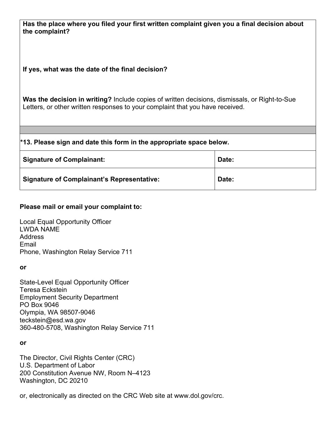| Has the place where you filed your first written complaint given you a final decision about<br>the complaint?                                                                         |       |  |  |  |
|---------------------------------------------------------------------------------------------------------------------------------------------------------------------------------------|-------|--|--|--|
| If yes, what was the date of the final decision?                                                                                                                                      |       |  |  |  |
| <b>Was the decision in writing?</b> Include copies of written decisions, dismissals, or Right-to-Sue<br>Letters, or other written responses to your complaint that you have received. |       |  |  |  |
|                                                                                                                                                                                       |       |  |  |  |
| $*$ 13. Please sign and date this form in the appropriate space below.                                                                                                                |       |  |  |  |
| <b>Signature of Complainant:</b>                                                                                                                                                      | Date: |  |  |  |
| <b>Signature of Complainant's Representative:</b>                                                                                                                                     | Date: |  |  |  |

## **Please mail or email your complaint to:**

Local Equal Opportunity Officer LWDA NAME **Address** Email Phone, Washington Relay Service 711

## **or**

State-Level Equal Opportunity Officer Teresa Eckstein Employment Security Department PO Box 9046 Olympia, WA 98507-9046 [teckstein@esd.wa.gov](mailto:teckstein@esd.wa.gov) 360-480-5708, Washington Relay Service 711

## **or**

The Director, Civil Rights Center (CRC) U.S. Department of Labor 200 Constitution Avenue NW, Room N–4123 Washington, DC 20210

or, electronically as directed on the CRC Web site at [www.dol.gov/crc.](http://www.dol.gov/crc)